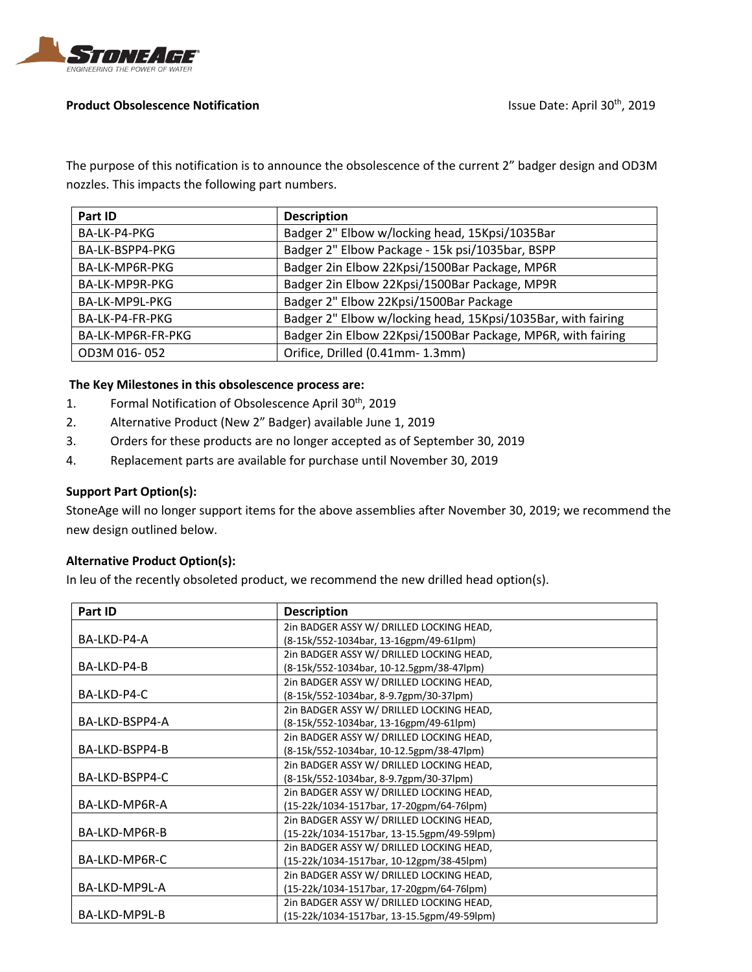

## **Product Obsolescence Notification Issue Date: April 30<sup>th</sup>, 2019**

The purpose of this notification is to announce the obsolescence of the current 2" badger design and OD3M nozzles. This impacts the following part numbers.

| Part ID           | <b>Description</b>                                           |
|-------------------|--------------------------------------------------------------|
| BA-LK-P4-PKG      | Badger 2" Elbow w/locking head, 15Kpsi/1035Bar               |
| BA-LK-BSPP4-PKG   | Badger 2" Elbow Package - 15k psi/1035bar, BSPP              |
| BA-LK-MP6R-PKG    | Badger 2in Elbow 22Kpsi/1500Bar Package, MP6R                |
| BA-LK-MP9R-PKG    | Badger 2in Elbow 22Kpsi/1500Bar Package, MP9R                |
| BA-LK-MP9L-PKG    | Badger 2" Elbow 22Kpsi/1500Bar Package                       |
| BA-LK-P4-FR-PKG   | Badger 2" Elbow w/locking head, 15Kpsi/1035Bar, with fairing |
| BA-LK-MP6R-FR-PKG | Badger 2in Elbow 22Kpsi/1500Bar Package, MP6R, with fairing  |
| OD3M 016-052      | Orifice, Drilled (0.41mm- 1.3mm)                             |

# **The Key Milestones in this obsolescence process are:**

- 1. Formal Notification of Obsolescence April 30<sup>th</sup>, 2019
- 2. Alternative Product (New 2" Badger) available June 1, 2019
- 3. Orders for these products are no longer accepted as of September 30, 2019
- 4. Replacement parts are available for purchase until November 30, 2019

# **Support Part Option(s):**

StoneAge will no longer support items for the above assemblies after November 30, 2019; we recommend the new design outlined below.

## **Alternative Product Option(s):**

In leu of the recently obsoleted product, we recommend the new drilled head option(s).

| Part ID        | <b>Description</b>                         |
|----------------|--------------------------------------------|
|                | 2in BADGER ASSY W/ DRILLED LOCKING HEAD,   |
| BA-LKD-P4-A    | (8-15k/552-1034bar, 13-16gpm/49-61lpm)     |
|                | 2in BADGER ASSY W/ DRILLED LOCKING HEAD,   |
| BA-LKD-P4-B    | (8-15k/552-1034bar, 10-12.5gpm/38-47lpm)   |
|                | 2in BADGER ASSY W/ DRILLED LOCKING HEAD,   |
| BA-LKD-P4-C    | (8-15k/552-1034bar, 8-9.7gpm/30-37lpm)     |
|                | 2in BADGER ASSY W/ DRILLED LOCKING HEAD,   |
| BA-LKD-BSPP4-A | (8-15k/552-1034bar, 13-16gpm/49-61lpm)     |
|                | 2in BADGER ASSY W/ DRILLED LOCKING HEAD,   |
| BA-LKD-BSPP4-B | (8-15k/552-1034bar, 10-12.5gpm/38-47lpm)   |
|                | 2in BADGER ASSY W/ DRILLED LOCKING HEAD,   |
| BA-LKD-BSPP4-C | (8-15k/552-1034bar, 8-9.7gpm/30-37lpm)     |
|                | 2in BADGER ASSY W/ DRILLED LOCKING HEAD,   |
| BA-LKD-MP6R-A  | (15-22k/1034-1517bar, 17-20gpm/64-76lpm)   |
|                | 2in BADGER ASSY W/ DRILLED LOCKING HEAD,   |
| BA-LKD-MP6R-B  | (15-22k/1034-1517bar, 13-15.5gpm/49-59lpm) |
|                | 2in BADGER ASSY W/ DRILLED LOCKING HEAD,   |
| BA-LKD-MP6R-C  | (15-22k/1034-1517bar, 10-12gpm/38-45lpm)   |
|                | 2in BADGER ASSY W/ DRILLED LOCKING HEAD,   |
| BA-LKD-MP9L-A  | (15-22k/1034-1517bar, 17-20gpm/64-76lpm)   |
|                | 2in BADGER ASSY W/ DRILLED LOCKING HEAD,   |
| BA-LKD-MP9L-B  | (15-22k/1034-1517bar, 13-15.5gpm/49-59lpm) |